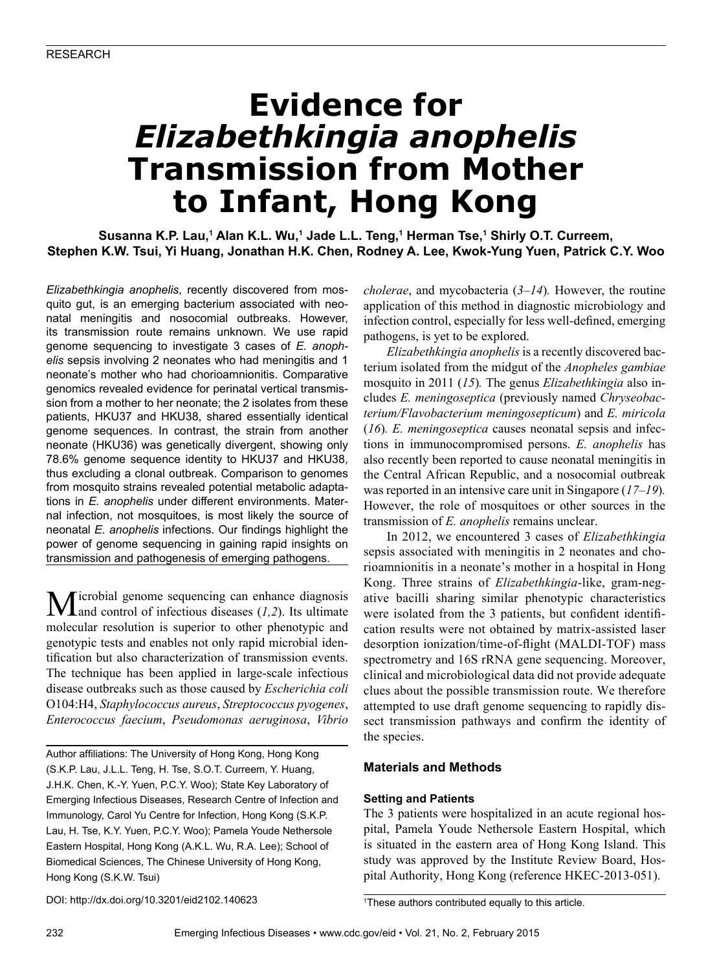# **Evidence for**  *Elizabethkingia anophelis* **Transmission from Mother to Infant, Hong Kong**

**Susanna K.P. Lau,<sup>1</sup> Alan K.L. Wu,<sup>1</sup> Jade L.L. Teng,<sup>1</sup> Herman Tse,<sup>1</sup> Shirly O.T. Curreem, Stephen K.W. Tsui, Yi Huang, Jonathan H.K. Chen, Rodney A. Lee, Kwok-Yung Yuen, Patrick C.Y. Woo**

*Elizabethkingia anophelis*, recently discovered from mosquito gut, is an emerging bacterium associated with neonatal meningitis and nosocomial outbreaks. However, its transmission route remains unknown. We use rapid genome sequencing to investigate 3 cases of *E. anophelis* sepsis involving 2 neonates who had meningitis and 1 neonate's mother who had chorioamnionitis. Comparative genomics revealed evidence for perinatal vertical transmission from a mother to her neonate; the 2 isolates from these patients, HKU37 and HKU38, shared essentially identical genome sequences. In contrast, the strain from another neonate (HKU36) was genetically divergent, showing only 78.6% genome sequence identity to HKU37 and HKU38, thus excluding a clonal outbreak. Comparison to genomes from mosquito strains revealed potential metabolic adaptations in *E. anophelis* under different environments. Maternal infection, not mosquitoes, is most likely the source of neonatal *E. anophelis* infections. Our findings highlight the power of genome sequencing in gaining rapid insights on transmission and pathogenesis of emerging pathogens.

Microbial genome sequencing can enhance diagnosis and control of infectious diseases (*1,2*). Its ultimate molecular resolution is superior to other phenotypic and genotypic tests and enables not only rapid microbial identification but also characterization of transmission events. The technique has been applied in large-scale infectious disease outbreaks such as those caused by *Escherichia coli* O104:H4, *Staphylococcus aureus*, *Streptococcus pyogenes*, *Enterococcus faecium*, *Pseudomonas aeruginosa*, *Vibrio* 

Author affiliations: The University of Hong Kong, Hong Kong (S.K.P. Lau, J.L.L. Teng, H. Tse, S.O.T. Curreem, Y. Huang, J.H.K. Chen, K.-Y. Yuen, P.C.Y. Woo); State Key Laboratory of Emerging Infectious Diseases, Research Centre of Infection and Immunology, Carol Yu Centre for Infection, Hong Kong (S.K.P. Lau, H. Tse, K.Y. Yuen, P.C.Y. Woo); Pamela Youde Nethersole Eastern Hospital, Hong Kong (A.K.L. Wu, R.A. Lee); School of Biomedical Sciences, The Chinese University of Hong Kong, Hong Kong (S.K.W. Tsui)

*cholerae*, and mycobacteria (*3–14*)*.* However, the routine application of this method in diagnostic microbiology and infection control, especially for less well-defined, emerging pathogens, is yet to be explored.

*Elizabethkingia anophelis* is a recently discovered bacterium isolated from the midgut of the *Anopheles gambiae* mosquito in 2011 (*15*)*.* The genus *Elizabethkingia* also includes *E. meningoseptica* (previously named *Chryseobacterium/Flavobacterium meningosepticum*) and *E. miricola* (*16*)*. E. meningoseptica* causes neonatal sepsis and infections in immunocompromised persons. *E. anophelis* has also recently been reported to cause neonatal meningitis in the Central African Republic, and a nosocomial outbreak was reported in an intensive care unit in Singapore (*17–19*)*.* However, the role of mosquitoes or other sources in the transmission of *E. anophelis* remains unclear.

In 2012, we encountered 3 cases of *Elizabethkingia* sepsis associated with meningitis in 2 neonates and chorioamnionitis in a neonate's mother in a hospital in Hong Kong. Three strains of *Elizabethkingia*-like, gram-negative bacilli sharing similar phenotypic characteristics were isolated from the 3 patients, but confident identification results were not obtained by matrix-assisted laser desorption ionization/time-of-flight (MALDI-TOF) mass spectrometry and 16S rRNA gene sequencing. Moreover, clinical and microbiological data did not provide adequate clues about the possible transmission route. We therefore attempted to use draft genome sequencing to rapidly dissect transmission pathways and confirm the identity of the species.

## **Materials and Methods**

## **Setting and Patients**

The 3 patients were hospitalized in an acute regional hospital, Pamela Youde Nethersole Eastern Hospital, which is situated in the eastern area of Hong Kong Island. This study was approved by the Institute Review Board, Hospital Authority, Hong Kong (reference HKEC-2013-051).

DOI: http://dx.doi.org/10.3201/eid2102.140623 <sup>1</sup>

<sup>&</sup>lt;sup>1</sup>These authors contributed equally to this article.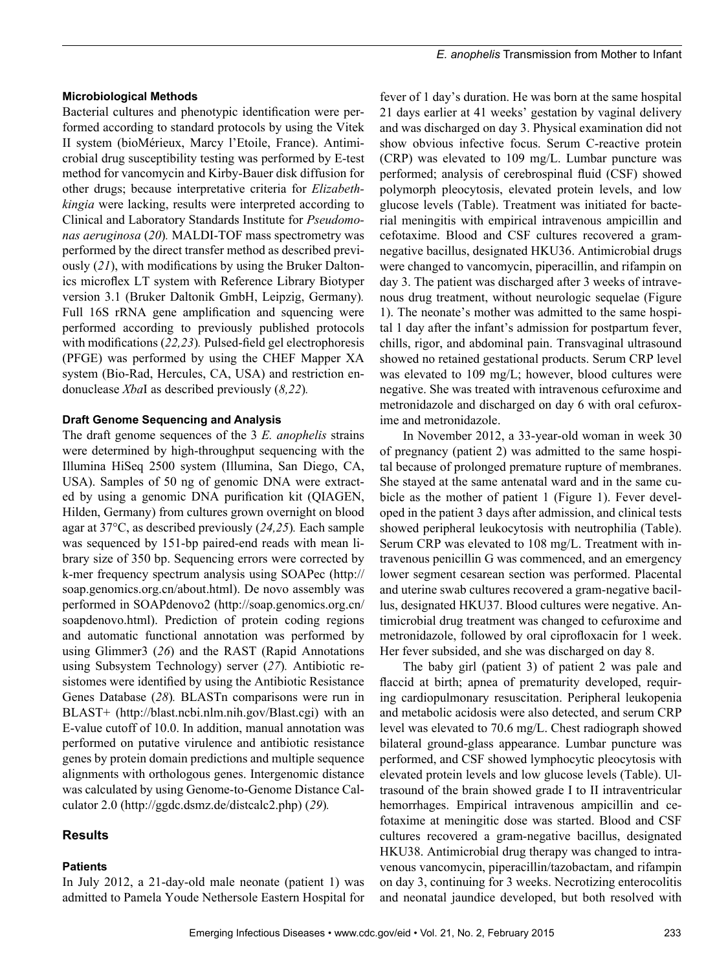Bacterial cultures and phenotypic identification were performed according to standard protocols by using the Vitek II system (bioMérieux, Marcy l'Etoile, France). Antimicrobial drug susceptibility testing was performed by E-test method for vancomycin and Kirby-Bauer disk diffusion for other drugs; because interpretative criteria for *Elizabethkingia* were lacking, results were interpreted according to Clinical and Laboratory Standards Institute for *Pseudomonas aeruginosa* (*20*)*.* MALDI-TOF mass spectrometry was performed by the direct transfer method as described previously (*21*), with modifications by using the Bruker Daltonics microflex LT system with Reference Library Biotyper version 3.1 (Bruker Daltonik GmbH, Leipzig, Germany)*.* Full 16S rRNA gene amplification and squencing were performed according to previously published protocols with modifications (*22,23*)*.* Pulsed-field gel electrophoresis (PFGE) was performed by using the CHEF Mapper XA system (Bio-Rad, Hercules, CA, USA) and restriction endonuclease *Xba*I as described previously (*8,22*)*.*

### **Draft Genome Sequencing and Analysis**

The draft genome sequences of the 3 *E. anophelis* strains were determined by high-throughput sequencing with the Illumina HiSeq 2500 system (Illumina, San Diego, CA, USA). Samples of 50 ng of genomic DNA were extracted by using a genomic DNA purification kit (QIAGEN, Hilden, Germany) from cultures grown overnight on blood agar at 37°C, as described previously (*24,25*)*.* Each sample was sequenced by 151-bp paired-end reads with mean library size of 350 bp. Sequencing errors were corrected by k-mer frequency spectrum analysis using SOAPec (http:// soap.genomics.org.cn/about.html). De novo assembly was performed in SOAPdenovo2 (http://soap.genomics.org.cn/ soapdenovo.html). Prediction of protein coding regions and automatic functional annotation was performed by using Glimmer3 (*26*) and the RAST (Rapid Annotations using Subsystem Technology) server (*27*)*.* Antibiotic resistomes were identified by using the Antibiotic Resistance Genes Database (*28*)*.* BLASTn comparisons were run in BLAST+ (http://blast.ncbi.nlm.nih.gov/Blast.cgi) with an E-value cutoff of 10.0. In addition, manual annotation was performed on putative virulence and antibiotic resistance genes by protein domain predictions and multiple sequence alignments with orthologous genes. Intergenomic distance was calculated by using Genome-to-Genome Distance Calculator 2.0 (http://ggdc.dsmz.de/distcalc2.php) (*29*)*.*

## **Results**

## **Patients**

In July 2012, a 21-day-old male neonate (patient 1) was admitted to Pamela Youde Nethersole Eastern Hospital for

fever of 1 day's duration. He was born at the same hospital 21 days earlier at 41 weeks' gestation by vaginal delivery and was discharged on day 3. Physical examination did not show obvious infective focus. Serum C-reactive protein (CRP) was elevated to 109 mg/L. Lumbar puncture was performed; analysis of cerebrospinal fluid (CSF) showed polymorph pleocytosis, elevated protein levels, and low glucose levels (Table). Treatment was initiated for bacterial meningitis with empirical intravenous ampicillin and cefotaxime. Blood and CSF cultures recovered a gramnegative bacillus, designated HKU36. Antimicrobial drugs were changed to vancomycin, piperacillin, and rifampin on day 3. The patient was discharged after 3 weeks of intravenous drug treatment, without neurologic sequelae (Figure 1). The neonate's mother was admitted to the same hospital 1 day after the infant's admission for postpartum fever, chills, rigor, and abdominal pain. Transvaginal ultrasound showed no retained gestational products. Serum CRP level was elevated to 109 mg/L; however, blood cultures were negative. She was treated with intravenous cefuroxime and metronidazole and discharged on day 6 with oral cefuroxime and metronidazole.

In November 2012, a 33-year-old woman in week 30 of pregnancy (patient 2) was admitted to the same hospital because of prolonged premature rupture of membranes. She stayed at the same antenatal ward and in the same cubicle as the mother of patient 1 (Figure 1). Fever developed in the patient 3 days after admission, and clinical tests showed peripheral leukocytosis with neutrophilia (Table). Serum CRP was elevated to 108 mg/L. Treatment with intravenous penicillin G was commenced, and an emergency lower segment cesarean section was performed. Placental and uterine swab cultures recovered a gram-negative bacillus, designated HKU37. Blood cultures were negative. Antimicrobial drug treatment was changed to cefuroxime and metronidazole, followed by oral ciprofloxacin for 1 week. Her fever subsided, and she was discharged on day 8.

The baby girl (patient 3) of patient 2 was pale and flaccid at birth; apnea of prematurity developed, requiring cardiopulmonary resuscitation. Peripheral leukopenia and metabolic acidosis were also detected, and serum CRP level was elevated to 70.6 mg/L. Chest radiograph showed bilateral ground-glass appearance. Lumbar puncture was performed, and CSF showed lymphocytic pleocytosis with elevated protein levels and low glucose levels (Table). Ultrasound of the brain showed grade I to II intraventricular hemorrhages. Empirical intravenous ampicillin and cefotaxime at meningitic dose was started. Blood and CSF cultures recovered a gram-negative bacillus, designated HKU38. Antimicrobial drug therapy was changed to intravenous vancomycin, piperacillin/tazobactam, and rifampin on day 3, continuing for 3 weeks. Necrotizing enterocolitis and neonatal jaundice developed, but both resolved with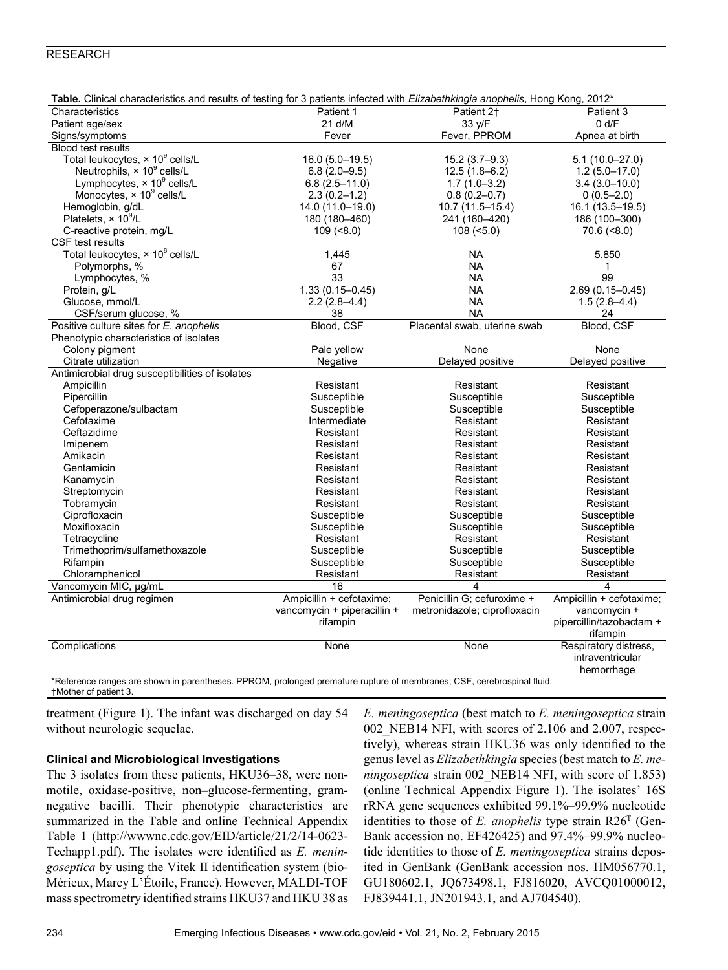| <b>Table.</b> Clinical characteristics and results of testing for 3 patients infected with <i>Elizabethkingia anophelis</i> , Hong Kong, 2012   |                             |                              |                          |
|-------------------------------------------------------------------------------------------------------------------------------------------------|-----------------------------|------------------------------|--------------------------|
| Characteristics                                                                                                                                 | Patient 1                   | Patient 2 <sup>+</sup>       | Patient 3                |
| Patient age/sex                                                                                                                                 | 21 d/M                      | 33 y/F                       | 0 d/F                    |
| Signs/symptoms                                                                                                                                  | Fever                       | Fever, PPROM                 | Apnea at birth           |
| <b>Blood test results</b>                                                                                                                       |                             |                              |                          |
| Total leukocytes, $\times$ 10 $^9$ cells/L                                                                                                      | $16.0(5.0 - 19.5)$          | $15.2(3.7 - 9.3)$            | $5.1(10.0 - 27.0)$       |
| Neutrophils, $\times$ 10 <sup>9</sup> cells/L                                                                                                   | $6.8(2.0-9.5)$              | $12.5(1.8-6.2)$              | $1.2(5.0-17.0)$          |
| Lymphocytes, $\times$ 10 $^9$ cells/L                                                                                                           | $6.8(2.5 - 11.0)$           | $1.7(1.0-3.2)$               | $3.4(3.0-10.0)$          |
| Monocytes, $\times 10^9$ cells/L                                                                                                                | $2.3(0.2 - 1.2)$            | $0.8(0.2 - 0.7)$             | $0(0.5 - 2.0)$           |
| Hemoglobin, g/dL                                                                                                                                | 14.0 (11.0-19.0)            | 10.7 (11.5-15.4)             | 16.1 (13.5-19.5)         |
| Platelets, $\times 10^9$ /L                                                                                                                     | 180 (180-460)               | 241 (160-420)                | 186 (100-300)            |
| C-reactive protein, mg/L                                                                                                                        | $109 (=8.0)$                | $108$ (<5.0)                 | $70.6$ (<8.0)            |
| CSF test results                                                                                                                                |                             |                              |                          |
| Total leukocytes, × 10 <sup>6</sup> cells/L                                                                                                     | 1,445                       | <b>NA</b>                    | 5,850                    |
| Polymorphs, %                                                                                                                                   | 67                          | <b>NA</b>                    | 1                        |
| Lymphocytes, %                                                                                                                                  | 33                          | <b>NA</b>                    | 99                       |
| Protein, g/L                                                                                                                                    | $1.33(0.15 - 0.45)$         | <b>NA</b>                    | $2.69(0.15 - 0.45)$      |
| Glucose, mmol/L                                                                                                                                 | $2.2(2.8-4.4)$              | <b>NA</b>                    | $1.5(2.8-4.4)$           |
| CSF/serum glucose, %                                                                                                                            | 38                          | <b>NA</b>                    | 24                       |
| Positive culture sites for E. anophelis                                                                                                         | Blood, CSF                  | Placental swab, uterine swab | Blood, CSF               |
| Phenotypic characteristics of isolates                                                                                                          |                             |                              |                          |
| Colony pigment                                                                                                                                  | Pale yellow                 | None                         | None                     |
| Citrate utilization                                                                                                                             | Negative                    | Delayed positive             | Delayed positive         |
| Antimicrobial drug susceptibilities of isolates                                                                                                 |                             |                              |                          |
| Ampicillin                                                                                                                                      | Resistant                   | Resistant                    | Resistant                |
| Pipercillin                                                                                                                                     | Susceptible                 | Susceptible                  | Susceptible              |
| Cefoperazone/sulbactam                                                                                                                          | Susceptible                 | Susceptible                  | Susceptible              |
| Cefotaxime                                                                                                                                      | Intermediate                | Resistant                    | Resistant                |
| Ceftazidime                                                                                                                                     | Resistant                   | Resistant                    | Resistant                |
| Imipenem                                                                                                                                        | Resistant                   | Resistant                    | Resistant                |
| Amikacin                                                                                                                                        | Resistant                   | Resistant                    | Resistant                |
| Gentamicin                                                                                                                                      | Resistant                   | Resistant                    | Resistant                |
|                                                                                                                                                 | Resistant                   | Resistant                    | Resistant                |
| Kanamycin                                                                                                                                       |                             | Resistant                    |                          |
| Streptomycin                                                                                                                                    | Resistant                   |                              | Resistant                |
| Tobramycin                                                                                                                                      | Resistant                   | Resistant                    | Resistant                |
| Ciprofloxacin                                                                                                                                   | Susceptible                 | Susceptible                  | Susceptible              |
| Moxifloxacin                                                                                                                                    | Susceptible                 | Susceptible                  | Susceptible              |
| Tetracycline                                                                                                                                    | Resistant                   | Resistant                    | Resistant                |
| Trimethoprim/sulfamethoxazole                                                                                                                   | Susceptible                 | Susceptible                  | Susceptible              |
| Rifampin                                                                                                                                        | Susceptible                 | Susceptible                  | Susceptible              |
| Chloramphenicol                                                                                                                                 | Resistant                   | Resistant                    | Resistant                |
| Vancomycin MIC, µg/mL                                                                                                                           | 16                          | 4                            | 4                        |
| Antimicrobial drug regimen                                                                                                                      | Ampicillin + cefotaxime;    | Penicillin G; cefuroxime +   | Ampicillin + cefotaxime; |
|                                                                                                                                                 | vancomycin + piperacillin + | metronidazole; ciprofloxacin | vancomycin +             |
|                                                                                                                                                 | rifampin                    |                              | pipercillin/tazobactam + |
|                                                                                                                                                 |                             |                              | rifampin                 |
| Complications                                                                                                                                   | None                        | None                         | Respiratory distress,    |
|                                                                                                                                                 |                             |                              | intraventricular         |
|                                                                                                                                                 |                             |                              | hemorrhage               |
| *Reference ranges are shown in parentheses. PPROM, prolonged premature rupture of membranes; CSF, cerebrospinal fluid.<br>+Mother of patient 3. |                             |                              |                          |

| Table. Clinical characteristics and results of testing for 3 patients infected with Elizabethkingia anophelis, Hong Kong, 2012* |  |  |  |  |
|---------------------------------------------------------------------------------------------------------------------------------|--|--|--|--|
|---------------------------------------------------------------------------------------------------------------------------------|--|--|--|--|

treatment (Figure 1). The infant was discharged on day 54 without neurologic sequelae.

## **Clinical and Microbiological Investigations**

The 3 isolates from these patients, HKU36–38, were nonmotile, oxidase-positive, non–glucose-fermenting, gramnegative bacilli. Their phenotypic characteristics are summarized in the Table and online Technical Appendix Table 1 (http://wwwnc.cdc.gov/EID/article/21/2/14-0623- Techapp1.pdf). The isolates were identified as *E. meningoseptica* by using the Vitek II identification system (bio-Mérieux, Marcy L'Étoile, France). However, MALDI-TOF mass spectrometry identified strains HKU37 and HKU 38 as *E. meningoseptica* (best match to *E. meningoseptica* strain 002\_NEB14 NFI, with scores of 2.106 and 2.007, respectively), whereas strain HKU36 was only identified to the genus level as *Elizabethkingia* species (best match to *E. meningoseptica* strain 002\_NEB14 NFI, with score of 1.853) (online Technical Appendix Figure 1). The isolates' 16S rRNA gene sequences exhibited 99.1%–99.9% nucleotide identities to those of *E. anophelis* type strain R26T (Gen-Bank accession no. EF426425) and 97.4%–99.9% nucleotide identities to those of *E. meningoseptica* strains deposited in GenBank (GenBank accession nos. HM056770.1, GU180602.1, JQ673498.1, FJ816020, AVCQ01000012, FJ839441.1, JN201943.1, and AJ704540).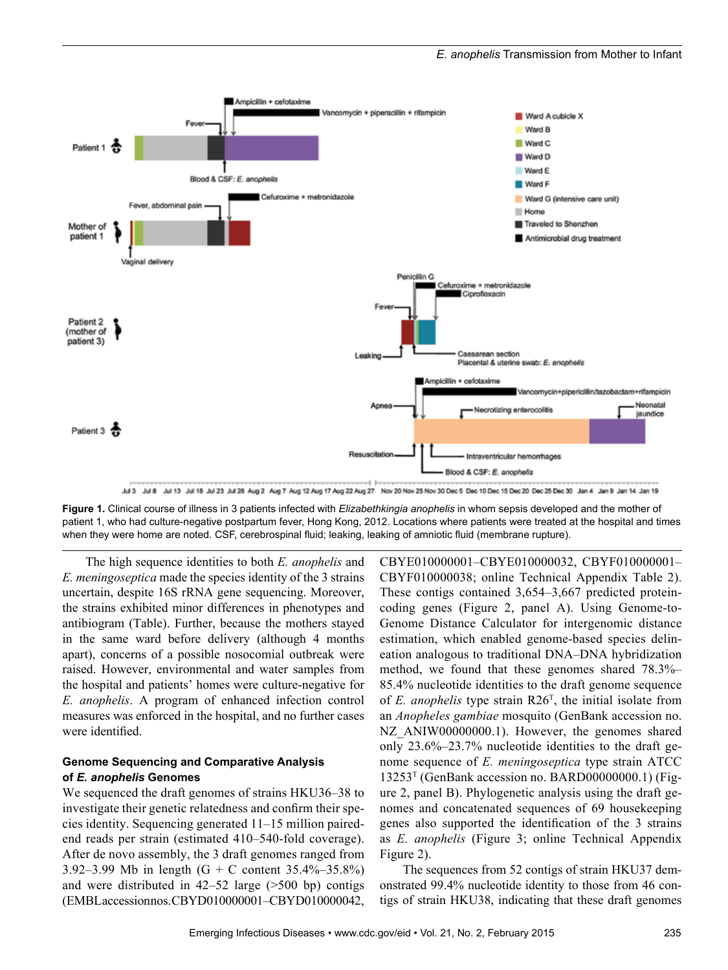

Jul 3 Jul 8 Jul 13 Jul 18 Jul 23 Jul 28 Aug 2 Aug 7 Aug 12 Aug 17 Aug 22 Aug 27 Nov 20 Nov 25 Nov 30 Dec 5 Dec 10 Dec 15 Dec 20 Dec 25 Dec 30 Jan 4 Jan 9 Jan 14 Jan 19

**Figure 1.** Clinical course of illness in 3 patients infected with *Elizabethkingia anophelis* in whom sepsis developed and the mother of patient 1, who had culture-negative postpartum fever, Hong Kong, 2012. Locations where patients were treated at the hospital and times when they were home are noted. CSF, cerebrospinal fluid; leaking, leaking of amniotic fluid (membrane rupture).

The high sequence identities to both *E. anophelis* and *E. meningoseptica* made the species identity of the 3 strains uncertain, despite 16S rRNA gene sequencing. Moreover, the strains exhibited minor differences in phenotypes and antibiogram (Table). Further, because the mothers stayed in the same ward before delivery (although 4 months apart), concerns of a possible nosocomial outbreak were raised. However, environmental and water samples from the hospital and patients' homes were culture-negative for *E. anophelis*. A program of enhanced infection control measures was enforced in the hospital, and no further cases were identified.

## **Genome Sequencing and Comparative Analysis of** *E. anophelis* **Genomes**

We sequenced the draft genomes of strains HKU36–38 to investigate their genetic relatedness and confirm their species identity. Sequencing generated 11–15 million pairedend reads per strain (estimated 410–540-fold coverage). After de novo assembly, the 3 draft genomes ranged from 3.92–3.99 Mb in length (G + C content 35.4%–35.8%) and were distributed in 42–52 large (>500 bp) contigs (EMBL accession nos. CBYD010000001–CBYD010000042,

CBYE010000001–CBYE010000032, CBYF010000001– CBYF010000038; online Technical Appendix Table 2). These contigs contained 3,654–3,667 predicted proteincoding genes (Figure 2, panel A). Using Genome-to-Genome Distance Calculator for intergenomic distance estimation, which enabled genome-based species delineation analogous to traditional DNA–DNA hybridization method, we found that these genomes shared 78.3%– 85.4% nucleotide identities to the draft genome sequence of *E. anophelis* type strain R26<sup>T</sup>, the initial isolate from an *Anopheles gambiae* mosquito (GenBank accession no. NZ ANIW00000000.1). However, the genomes shared only 23.6%–23.7% nucleotide identities to the draft genome sequence of *E. meningoseptica* type strain ATCC  $13253<sup>T</sup>$  (GenBank accession no. BARD00000000.1) (Figure 2, panel B). Phylogenetic analysis using the draft genomes and concatenated sequences of 69 housekeeping genes also supported the identification of the 3 strains as *E. anophelis* (Figure 3; online Technical Appendix Figure 2).

The sequences from 52 contigs of strain HKU37 demonstrated 99.4% nucleotide identity to those from 46 contigs of strain HKU38, indicating that these draft genomes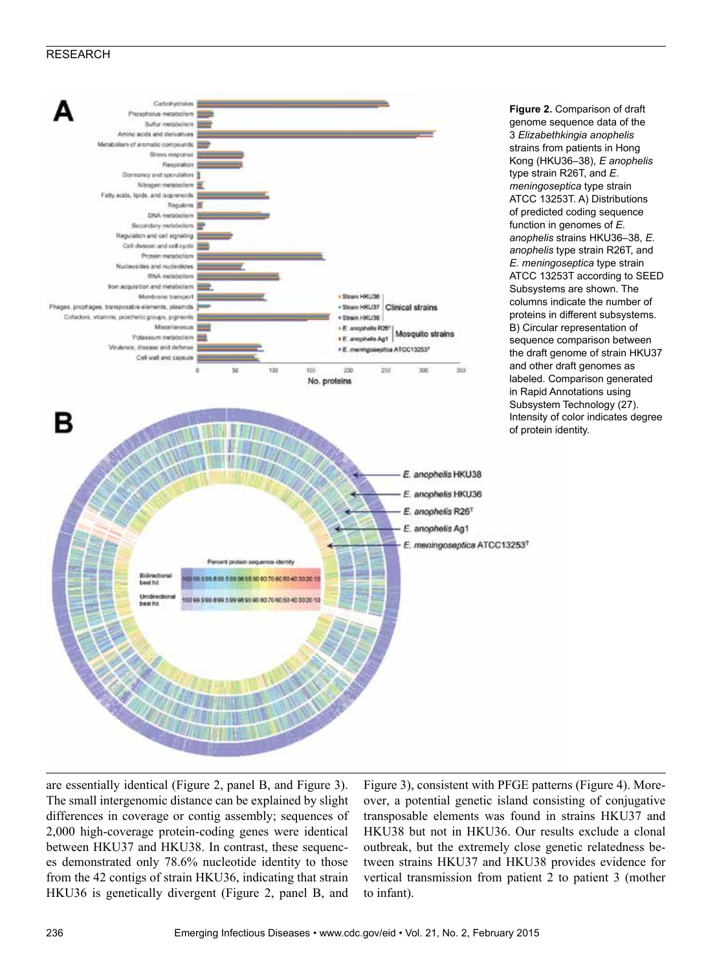

**Figure 2.** Comparison of draft genome sequence data of the 3 *Elizabethkingia anophelis* strains from patients in Hong Kong (HKU36–38), *E anophelis* type strain R26T, and *E*. *meningoseptica* type strain ATCC 13253T. A) Distributions of predicted coding sequence function in genomes of *E. anophelis* strains HKU36–38, *E. anophelis* type strain R26T, and *E. meningoseptica* type strain ATCC 13253T according to SEED Subsystems are shown. The columns indicate the number of proteins in different subsystems. B) Circular representation of sequence comparison between the draft genome of strain HKU37 and other draft genomes as labeled. Comparison generated in Rapid Annotations using Subsystem Technology (27). Intensity of color indicates degree of protein identity.

are essentially identical (Figure 2, panel B, and Figure 3). The small intergenomic distance can be explained by slight differences in coverage or contig assembly; sequences of 2,000 high-coverage protein-coding genes were identical between HKU37 and HKU38. In contrast, these sequences demonstrated only 78.6% nucleotide identity to those from the 42 contigs of strain HKU36, indicating that strain HKU36 is genetically divergent (Figure 2, panel B, and Figure 3), consistent with PFGE patterns (Figure 4). Moreover, a potential genetic island consisting of conjugative transposable elements was found in strains HKU37 and HKU38 but not in HKU36. Our results exclude a clonal outbreak, but the extremely close genetic relatedness between strains HKU37 and HKU38 provides evidence for vertical transmission from patient 2 to patient 3 (mother to infant).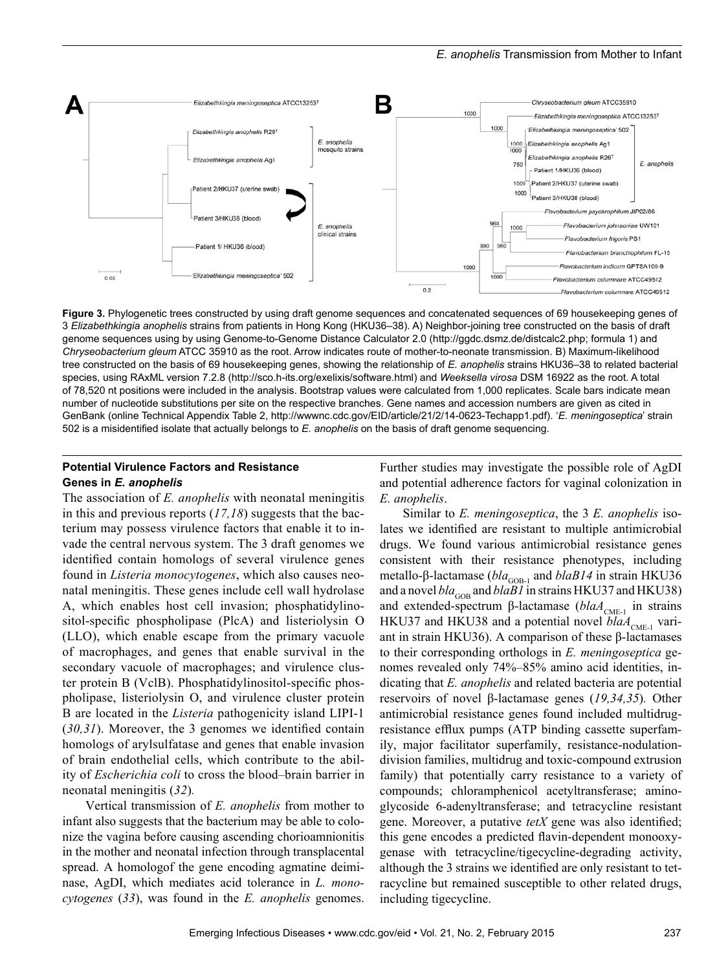#### *E. anophelis* Transmission from Mother to Infant



**Figure 3.** Phylogenetic trees constructed by using draft genome sequences and concatenated sequences of 69 housekeeping genes of 3 *Elizabethkingia anophelis* strains from patients in Hong Kong (HKU36–38). A) Neighbor-joining tree constructed on the basis of draft genome sequences using by using Genome-to-Genome Distance Calculator 2.0 (http://ggdc.dsmz.de/distcalc2.php; formula 1) and *Chryseobacterium gleum* ATCC 35910 as the root. Arrow indicates route of mother-to-neonate transmission. B) Maximum-likelihood tree constructed on the basis of 69 housekeeping genes, showing the relationship of *E. anophelis* strains HKU36–38 to related bacterial species, using RAxML version 7.2.8 (http://sco.h-its.org/exelixis/software.html) and *Weeksella virosa* DSM 16922 as the root. A total of 78,520 nt positions were included in the analysis. Bootstrap values were calculated from 1,000 replicates. Scale bars indicate mean number of nucleotide substitutions per site on the respective branches. Gene names and accession numbers are given as cited in GenBank (online Technical Appendix Table 2, http://wwwnc.cdc.gov/EID/article/21/2/14-0623-Techapp1.pdf). '*E. meningoseptica*' strain 502 is a misidentified isolate that actually belongs to *E. anophelis* on the basis of draft genome sequencing.

## **Potential Virulence Factors and Resistance Genes in** *E. anophelis*

The association of *E. anophelis* with neonatal meningitis in this and previous reports (*17,18*) suggests that the bacterium may possess virulence factors that enable it to invade the central nervous system. The 3 draft genomes we identified contain homologs of several virulence genes found in *Listeria monocytogenes*, which also causes neonatal meningitis. These genes include cell wall hydrolase A, which enables host cell invasion; phosphatidylinositol-specific phospholipase (PlcA) and listeriolysin O (LLO), which enable escape from the primary vacuole of macrophages, and genes that enable survival in the secondary vacuole of macrophages; and virulence cluster protein B (VclB). Phosphatidylinositol-specific phospholipase, listeriolysin O, and virulence cluster protein B are located in the *Listeria* pathogenicity island LIPI-1 (*30,31*). Moreover, the 3 genomes we identified contain homologs of arylsulfatase and genes that enable invasion of brain endothelial cells, which contribute to the ability of *Escherichia coli* to cross the blood–brain barrier in neonatal meningitis (*32*)*.*

Vertical transmission of *E. anophelis* from mother to infant also suggests that the bacterium may be able to colonize the vagina before causing ascending chorioamnionitis in the mother and neonatal infection through transplacental spread. A homologof the gene encoding agmatine deiminase, AgDI, which mediates acid tolerance in *L. monocytogenes* (*33*), was found in the *E. anophelis* genomes.

Further studies may investigate the possible role of AgDI and potential adherence factors for vaginal colonization in *E. anophelis*.

Similar to *E. meningoseptica*, the 3 *E. anophelis* isolates we identified are resistant to multiple antimicrobial drugs. We found various antimicrobial resistance genes consistent with their resistance phenotypes, including metallo-β-lactamase (*bla*<sub>GOB-1</sub> and *blaB14* in strain HKU36 and a novel  $bla_{\text{GOB}}$  and  $blaBI$  in strains HKU37 and HKU38) and extended-spectrum β-lactamase (*blaA*<sub>CME-1</sub> in strains HKU37 and HKU38 and a potential novel *blaA*<sub>CME-1</sub> variant in strain HKU36). A comparison of these β-lactamases to their corresponding orthologs in *E. meningoseptica* genomes revealed only 74%–85% amino acid identities, indicating that *E. anophelis* and related bacteria are potential reservoirs of novel β-lactamase genes (*19,34,35*)*.* Other antimicrobial resistance genes found included multidrugresistance efflux pumps (ATP binding cassette superfamily, major facilitator superfamily, resistance-nodulationdivision families, multidrug and toxic-compound extrusion family) that potentially carry resistance to a variety of compounds; chloramphenicol acetyltransferase; aminoglycoside 6-adenyltransferase; and tetracycline resistant gene. Moreover, a putative *tetX* gene was also identified; this gene encodes a predicted flavin-dependent monooxygenase with tetracycline/tigecycline-degrading activity, although the 3 strains we identified are only resistant to tetracycline but remained susceptible to other related drugs, including tigecycline.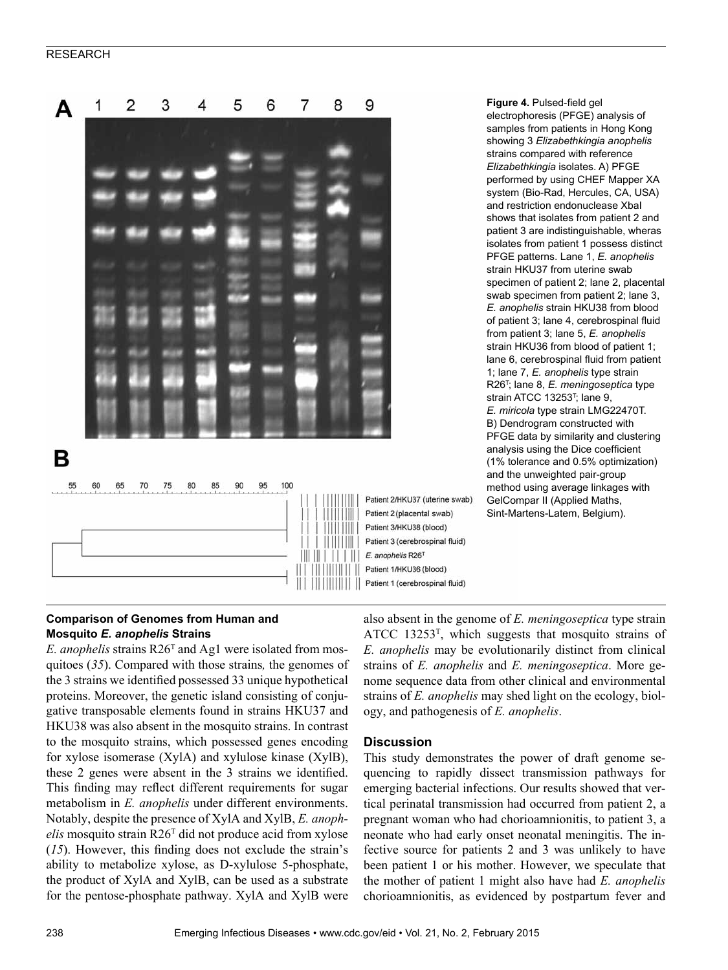

**Figure 4.** Pulsed-field gel electrophoresis (PFGE) analysis of samples from patients in Hong Kong showing 3 *Elizabethkingia anophelis* strains compared with reference *Elizabethkingia* isolates. A) PFGE performed by using CHEF Mapper XA system (Bio-Rad, Hercules, CA, USA) and restriction endonuclease XbaI shows that isolates from patient 2 and patient 3 are indistinguishable, wheras isolates from patient 1 possess distinct PFGE patterns. Lane 1, *E. anophelis* strain HKU37 from uterine swab specimen of patient 2; lane 2, placental swab specimen from patient 2; lane 3, *E. anophelis* strain HKU38 from blood of patient 3; lane 4, cerebrospinal fluid from patient 3; lane 5, *E. anophelis* strain HKU36 from blood of patient 1; lane 6, cerebrospinal fluid from patient 1; lane 7, *E. anophelis* type strain R26<sup>T</sup> ; lane 8, *E. meningoseptica* type strain ATCC 13253<sup>T</sup>; lane 9, *E. miricola* type strain LMG22470T. B) Dendrogram constructed with PFGE data by similarity and clustering analysis using the Dice coefficient (1% tolerance and 0.5% optimization) and the unweighted pair-group method using average linkages with GelCompar II (Applied Maths, Sint-Martens-Latem, Belgium).

## **Comparison of Genomes from Human and Mosquito** *E. anophelis* **Strains**

*E. anophelis* strains R26<sup>T</sup> and Ag1 were isolated from mosquitoes (*35*). Compared with those strains*,* the genomes of the 3 strains we identified possessed 33 unique hypothetical proteins. Moreover, the genetic island consisting of conjugative transposable elements found in strains HKU37 and HKU38 was also absent in the mosquito strains. In contrast to the mosquito strains, which possessed genes encoding for xylose isomerase (XylA) and xylulose kinase (XylB), these 2 genes were absent in the 3 strains we identified. This finding may reflect different requirements for sugar metabolism in *E. anophelis* under different environments. Notably, despite the presence of XylA and XylB, *E. anophelis* mosquito strain R26<sup>T</sup> did not produce acid from xylose (*15*). However, this finding does not exclude the strain's ability to metabolize xylose, as D-xylulose 5-phosphate, the product of XylA and XylB, can be used as a substrate for the pentose-phosphate pathway. XylA and XylB were

also absent in the genome of *E. meningoseptica* type strain ATCC 13253<sup>T</sup>, which suggests that mosquito strains of *E. anophelis* may be evolutionarily distinct from clinical strains of *E. anophelis* and *E. meningoseptica*. More genome sequence data from other clinical and environmental strains of *E. anophelis* may shed light on the ecology, biology, and pathogenesis of *E. anophelis*.

## **Discussion**

This study demonstrates the power of draft genome sequencing to rapidly dissect transmission pathways for emerging bacterial infections. Our results showed that vertical perinatal transmission had occurred from patient 2, a pregnant woman who had chorioamnionitis, to patient 3, a neonate who had early onset neonatal meningitis. The infective source for patients 2 and 3 was unlikely to have been patient 1 or his mother. However, we speculate that the mother of patient 1 might also have had *E. anophelis* chorioamnionitis, as evidenced by postpartum fever and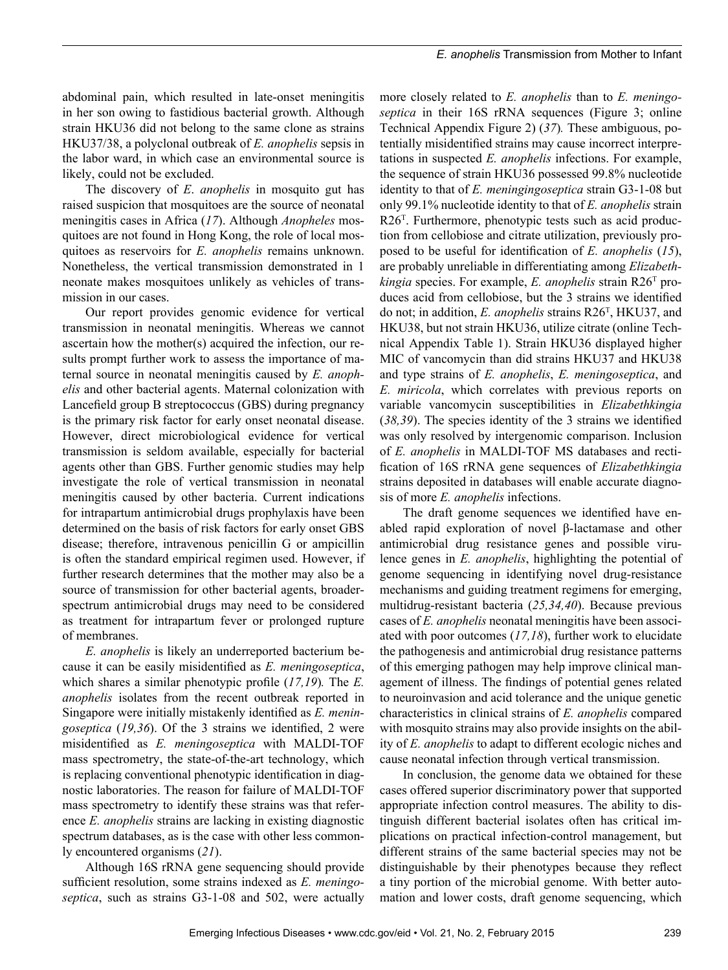abdominal pain, which resulted in late-onset meningitis in her son owing to fastidious bacterial growth. Although strain HKU36 did not belong to the same clone as strains HKU37/38, a polyclonal outbreak of *E. anophelis* sepsis in the labor ward, in which case an environmental source is likely, could not be excluded.

The discovery of *E*. *anophelis* in mosquito gut has raised suspicion that mosquitoes are the source of neonatal meningitis cases in Africa (*17*). Although *Anopheles* mosquitoes are not found in Hong Kong, the role of local mosquitoes as reservoirs for *E. anophelis* remains unknown. Nonetheless, the vertical transmission demonstrated in 1 neonate makes mosquitoes unlikely as vehicles of transmission in our cases.

Our report provides genomic evidence for vertical transmission in neonatal meningitis. Whereas we cannot ascertain how the mother(s) acquired the infection, our results prompt further work to assess the importance of maternal source in neonatal meningitis caused by *E. anophelis* and other bacterial agents. Maternal colonization with Lancefield group B streptococcus (GBS) during pregnancy is the primary risk factor for early onset neonatal disease. However, direct microbiological evidence for vertical transmission is seldom available, especially for bacterial agents other than GBS. Further genomic studies may help investigate the role of vertical transmission in neonatal meningitis caused by other bacteria. Current indications for intrapartum antimicrobial drugs prophylaxis have been determined on the basis of risk factors for early onset GBS disease; therefore, intravenous penicillin G or ampicillin is often the standard empirical regimen used. However, if further research determines that the mother may also be a source of transmission for other bacterial agents, broaderspectrum antimicrobial drugs may need to be considered as treatment for intrapartum fever or prolonged rupture of membranes.

*E. anophelis* is likely an underreported bacterium because it can be easily misidentified as *E. meningoseptica*, which shares a similar phenotypic profile (*17,19*)*.* The *E. anophelis* isolates from the recent outbreak reported in Singapore were initially mistakenly identified as *E. meningoseptica* (*19,36*). Of the 3 strains we identified, 2 were misidentified as *E. meningoseptica* with MALDI-TOF mass spectrometry, the state-of-the-art technology, which is replacing conventional phenotypic identification in diagnostic laboratories. The reason for failure of MALDI-TOF mass spectrometry to identify these strains was that reference *E. anophelis* strains are lacking in existing diagnostic spectrum databases, as is the case with other less commonly encountered organisms (*21*).

Although 16S rRNA gene sequencing should provide sufficient resolution, some strains indexed as *E. meningoseptica*, such as strains G3-1-08 and 502, were actually

more closely related to *E. anophelis* than to *E. meningoseptica* in their 16S rRNA sequences (Figure 3; online Technical Appendix Figure 2) (*37*)*.* These ambiguous, potentially misidentified strains may cause incorrect interpretations in suspected *E. anophelis* infections. For example, the sequence of strain HKU36 possessed 99.8% nucleotide identity to that of *E. meningingoseptica* strain G3-1-08 but only 99.1% nucleotide identity to that of *E. anophelis* strain R26<sup>T</sup>. Furthermore, phenotypic tests such as acid production from cellobiose and citrate utilization, previously proposed to be useful for identification of *E. anophelis* (*15*), are probably unreliable in differentiating among *Elizabethkingia* species. For example, *E. anophelis* strain R26T produces acid from cellobiose, but the 3 strains we identified do not; in addition, *E. anophelis* strains R26<sup>T</sup>, HKU37, and HKU38, but not strain HKU36, utilize citrate (online Technical Appendix Table 1). Strain HKU36 displayed higher MIC of vancomycin than did strains HKU37 and HKU38 and type strains of *E. anophelis*, *E. meningoseptica*, and *E. miricola*, which correlates with previous reports on variable vancomycin susceptibilities in *Elizabethkingia* (*38,39*). The species identity of the 3 strains we identified was only resolved by intergenomic comparison. Inclusion of *E. anophelis* in MALDI-TOF MS databases and rectification of 16S rRNA gene sequences of *Elizabethkingia* strains deposited in databases will enable accurate diagnosis of more *E. anophelis* infections.

The draft genome sequences we identified have enabled rapid exploration of novel β-lactamase and other antimicrobial drug resistance genes and possible virulence genes in *E. anophelis*, highlighting the potential of genome sequencing in identifying novel drug-resistance mechanisms and guiding treatment regimens for emerging, multidrug-resistant bacteria (*25,34,40*). Because previous cases of *E. anophelis* neonatal meningitis have been associated with poor outcomes (*17,18*), further work to elucidate the pathogenesis and antimicrobial drug resistance patterns of this emerging pathogen may help improve clinical management of illness. The findings of potential genes related to neuroinvasion and acid tolerance and the unique genetic characteristics in clinical strains of *E. anophelis* compared with mosquito strains may also provide insights on the ability of *E. anophelis* to adapt to different ecologic niches and cause neonatal infection through vertical transmission.

In conclusion, the genome data we obtained for these cases offered superior discriminatory power that supported appropriate infection control measures. The ability to distinguish different bacterial isolates often has critical implications on practical infection-control management, but different strains of the same bacterial species may not be distinguishable by their phenotypes because they reflect a tiny portion of the microbial genome. With better automation and lower costs, draft genome sequencing, which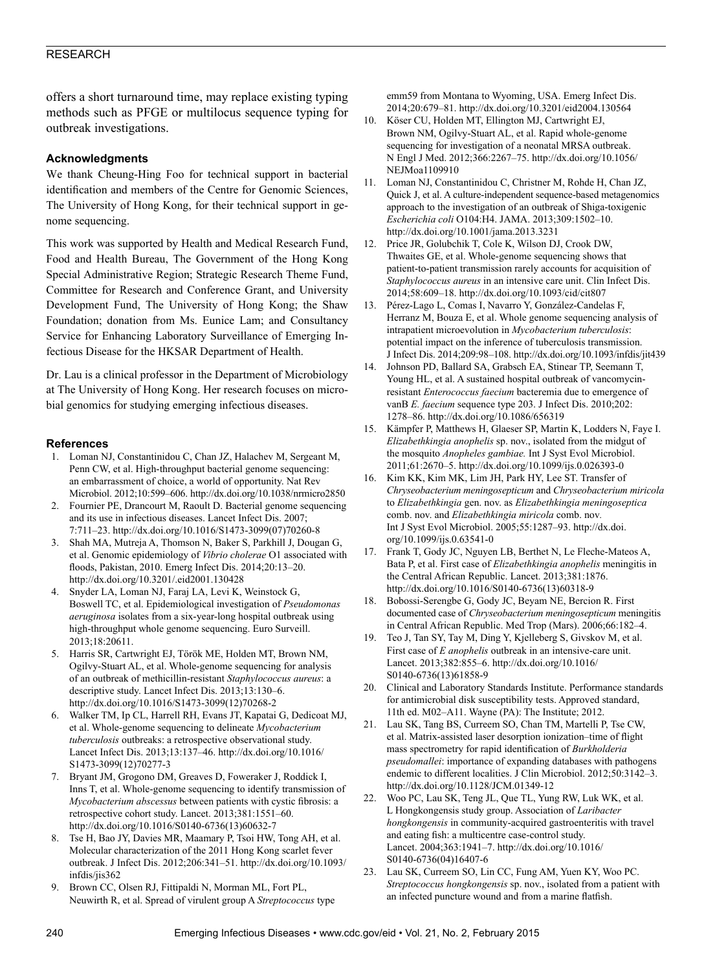offers a short turnaround time, may replace existing typing methods such as PFGE or multilocus sequence typing for outbreak investigations.

## **Acknowledgments**

We thank Cheung-Hing Foo for technical support in bacterial identification and members of the Centre for Genomic Sciences, The University of Hong Kong, for their technical support in genome sequencing.

This work was supported by Health and Medical Research Fund, Food and Health Bureau, The Government of the Hong Kong Special Administrative Region; Strategic Research Theme Fund, Committee for Research and Conference Grant, and University Development Fund, The University of Hong Kong; the Shaw Foundation; donation from Ms. Eunice Lam; and Consultancy Service for Enhancing Laboratory Surveillance of Emerging Infectious Disease for the HKSAR Department of Health.

Dr. Lau is a clinical professor in the Department of Microbiology at The University of Hong Kong. Her research focuses on microbial genomics for studying emerging infectious diseases.

#### **References**

- 1. Loman NJ, Constantinidou C, Chan JZ, Halachev M, Sergeant M, Penn CW, et al. High-throughput bacterial genome sequencing: an embarrassment of choice, a world of opportunity. Nat Rev Microbiol. 2012;10:599–606. http://dx.doi.org/10.1038/nrmicro2850
- 2. Fournier PE, Drancourt M, Raoult D. Bacterial genome sequencing and its use in infectious diseases. Lancet Infect Dis. 2007; 7:711–23. http://dx.doi.org/10.1016/S1473-3099(07)70260-8
- 3. Shah MA, Mutreja A, Thomson N, Baker S, Parkhill J, Dougan G, et al. Genomic epidemiology of *Vibrio cholerae* O1 associated with floods, Pakistan, 2010. Emerg Infect Dis. 2014;20:13–20. http://dx.doi.org/10.3201/.eid2001.130428
- 4. Snyder LA, Loman NJ, Faraj LA, Levi K, Weinstock G, Boswell TC, et al. Epidemiological investigation of *Pseudomonas aeruginosa* isolates from a six-year-long hospital outbreak using high-throughput whole genome sequencing. Euro Surveill. 2013;18:20611.
- 5. Harris SR, Cartwright EJ, Török ME, Holden MT, Brown NM, Ogilvy-Stuart AL, et al. Whole-genome sequencing for analysis of an outbreak of methicillin-resistant *Staphylococcus aureus*: a descriptive study. Lancet Infect Dis. 2013;13:130–6. http://dx.doi.org/10.1016/S1473-3099(12)70268-2
- 6. Walker TM, Ip CL, Harrell RH, Evans JT, Kapatai G, Dedicoat MJ, et al. Whole-genome sequencing to delineate *Mycobacterium tuberculosis* outbreaks: a retrospective observational study. Lancet Infect Dis. 2013;13:137–46. http://dx.doi.org/10.1016/ S1473-3099(12)70277-3
- 7. Bryant JM, Grogono DM, Greaves D, Foweraker J, Roddick I, Inns T, et al. Whole-genome sequencing to identify transmission of *Mycobacterium abscessus* between patients with cystic fibrosis: a retrospective cohort study. Lancet. 2013;381:1551–60. http://dx.doi.org/10.1016/S0140-6736(13)60632-7
- 8. Tse H, Bao JY, Davies MR, Maamary P, Tsoi HW, Tong AH, et al. Molecular characterization of the 2011 Hong Kong scarlet fever outbreak. J Infect Dis. 2012;206:341–51. http://dx.doi.org/10.1093/ infdis/jis362
- 9. Brown CC, Olsen RJ, Fittipaldi N, Morman ML, Fort PL, Neuwirth R, et al. Spread of virulent group A *Streptococcus* type

emm59 from Montana to Wyoming, USA. Emerg Infect Dis. 2014;20:679–81. http://dx.doi.org/10.3201/eid2004.130564

- 10. Köser CU, Holden MT, Ellington MJ, Cartwright EJ, Brown NM, Ogilvy-Stuart AL, et al. Rapid whole-genome sequencing for investigation of a neonatal MRSA outbreak. N Engl J Med. 2012;366:2267–75. http://dx.doi.org/10.1056/ NEJMoa1109910
- 11. Loman NJ, Constantinidou C, Christner M, Rohde H, Chan JZ, Quick J, et al. A culture-independent sequence-based metagenomics approach to the investigation of an outbreak of Shiga-toxigenic *Escherichia coli* O104:H4. JAMA. 2013;309:1502–10. http://dx.doi.org/10.1001/jama.2013.3231
- 12. Price JR, Golubchik T, Cole K, Wilson DJ, Crook DW, Thwaites GE, et al. Whole-genome sequencing shows that patient-to-patient transmission rarely accounts for acquisition of *Staphylococcus aureus* in an intensive care unit. Clin Infect Dis. 2014;58:609–18. http://dx.doi.org/10.1093/cid/cit807
- 13. Pérez-Lago L, Comas I, Navarro Y, González-Candelas F, Herranz M, Bouza E, et al. Whole genome sequencing analysis of intrapatient microevolution in *Mycobacterium tuberculosis*: potential impact on the inference of tuberculosis transmission. J Infect Dis. 2014;209:98–108. http://dx.doi.org/10.1093/infdis/jit439
- 14. Johnson PD, Ballard SA, Grabsch EA, Stinear TP, Seemann T, Young HL, et al. A sustained hospital outbreak of vancomycinresistant *Enterococcus faecium* bacteremia due to emergence of vanB *E. faecium* sequence type 203. J Infect Dis. 2010;202: 1278–86. http://dx.doi.org/10.1086/656319
- 15. Kämpfer P, Matthews H, Glaeser SP, Martin K, Lodders N, Faye I. *Elizabethkingia anophelis* sp. nov., isolated from the midgut of the mosquito *Anopheles gambiae.* Int J Syst Evol Microbiol. 2011;61:2670–5. http://dx.doi.org/10.1099/ijs.0.026393-0
- 16. Kim KK, Kim MK, Lim JH, Park HY, Lee ST. Transfer of *Chryseobacterium meningosepticum* and *Chryseobacterium miricola* to *Elizabethkingia* gen. nov. as *Elizabethkingia meningoseptica* comb. nov. and *Elizabethkingia miricola* comb. nov*.* Int J Syst Evol Microbiol. 2005;55:1287–93. http://dx.doi. org/10.1099/ijs.0.63541-0
- 17. Frank T, Gody JC, Nguyen LB, Berthet N, Le Fleche-Mateos A, Bata P, et al. First case of *Elizabethkingia anophelis* meningitis in the Central African Republic. Lancet. 2013;381:1876. http://dx.doi.org/10.1016/S0140-6736(13)60318-9
- 18. Bobossi-Serengbe G, Gody JC, Beyam NE, Bercion R. First documented case of *Chryseobacterium meningosepticum* meningitis in Central African Republic. Med Trop (Mars). 2006;66:182–4.
- 19. Teo J, Tan SY, Tay M, Ding Y, Kjelleberg S, Givskov M, et al. First case of *E anophelis* outbreak in an intensive-care unit. Lancet. 2013;382:855–6. http://dx.doi.org/10.1016/ S0140-6736(13)61858-9
- 20. Clinical and Laboratory Standards Institute. Performance standards for antimicrobial disk susceptibility tests. Approved standard, 11th ed. M02–A11. Wayne (PA): The Institute; 2012.
- 21. Lau SK, Tang BS, Curreem SO, Chan TM, Martelli P, Tse CW, et al. Matrix-assisted laser desorption ionization–time of flight mass spectrometry for rapid identification of *Burkholderia pseudomallei*: importance of expanding databases with pathogens endemic to different localities. J Clin Microbiol. 2012;50:3142–3. http://dx.doi.org/10.1128/JCM.01349-12
- 22. Woo PC, Lau SK, Teng JL, Que TL, Yung RW, Luk WK, et al. L Hongkongensis study group. Association of *Laribacter hongkongensis* in community-acquired gastroenteritis with travel and eating fish: a multicentre case-control study. Lancet. 2004;363:1941–7. http://dx.doi.org/10.1016/ S0140-6736(04)16407-6
- 23. Lau SK, Curreem SO, Lin CC, Fung AM, Yuen KY, Woo PC. *Streptococcus hongkongensis* sp. nov., isolated from a patient with an infected puncture wound and from a marine flatfish.